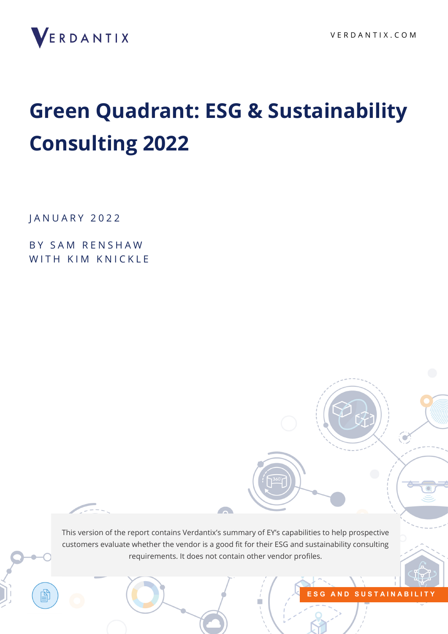

# **Green Quadrant: ESG & Sustainability Consulting 2022**

J A N U A R Y 2022

BY SAM RENSHAW WITH KIM KNICKLE

> This version of the report contains Verdantix's summary of EY's capabilities to help prospective customers evaluate whether the vendor is a good fit for their ESG and sustainability consulting requirements. It does not contain other vendor profiles.

**START OF BUILDING** 

**[E S G A N D S U S T A I N A B I L I T Y](https://research.verdantix.com/research/environment-health-safety)**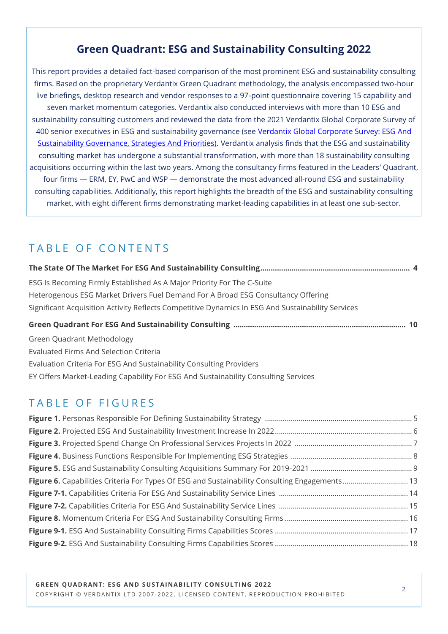## **Green Quadrant: ESG and Sustainability Consulting 2022**

This report provides a detailed fact-based comparison of the most prominent ESG and sustainability consulting firms. Based on the proprietary Verdantix Green Quadrant methodology, the analysis encompassed two-hour live briefings, desktop research and vendor responses to a 97-point questionnaire covering 15 capability and seven market momentum categories. Verdantix also conducted interviews with more than 10 ESG and sustainability consulting customers and reviewed the data from the 2021 Verdantix Global Corporate Survey of 400 senior executives in ESG and sustainability governance (see Verdantix Global Corporate Survey: ESG And [Sustainability Governance, Strategies And Priorities\).](https://research.verdantix.com/report/global-corporate-survey-esg-and-sustainability-governance-strategies-and-priorities) Verdantix analysis finds that the ESG and sustainability consulting market has undergone a substantial transformation, with more than 18 sustainability consulting acquisitions occurring within the last two years. Among the consultancy firms featured in the Leaders' Quadrant, four firms — ERM, EY, PwC and WSP — demonstrate the most advanced all-round ESG and sustainability consulting capabilities. Additionally, this report highlights the breadth of the ESG and sustainability consulting market, with eight different firms demonstrating market-leading capabilities in at least one sub-sector.

## TABLE OF CONTENTS

| ESG Is Becoming Firmly Established As A Major Priority For The C-Suite                            |  |
|---------------------------------------------------------------------------------------------------|--|
| Heterogenous ESG Market Drivers Fuel Demand For A Broad ESG Consultancy Offering                  |  |
| Significant Acquisition Activity Reflects Competitive Dynamics In ESG And Sustainability Services |  |
|                                                                                                   |  |
| <b>Green Quadrant Methodology</b>                                                                 |  |
| Euglistad Firms And Calcation Critoria                                                            |  |

Evaluated Firms And Selection Criteria Evaluation Criteria For ESG And Sustainability Consulting Providers EY Offers Market-Leading Capability For ESG And Sustainability Consulting Services

## TABLE OF FIGURES

| Figure 6. Capabilities Criteria For Types Of ESG and Sustainability Consulting Engagements 13 |  |
|-----------------------------------------------------------------------------------------------|--|
|                                                                                               |  |
|                                                                                               |  |
|                                                                                               |  |
|                                                                                               |  |
|                                                                                               |  |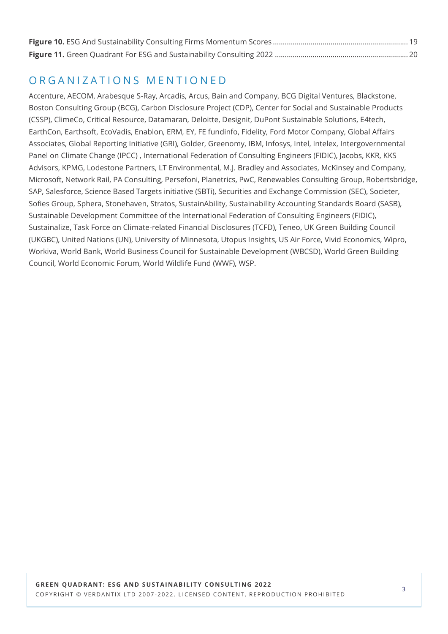## O R G A N I Z A T I O N S M E N T I O N E D

Accenture, AECOM, Arabesque S-Ray, Arcadis, Arcus, Bain and Company, BCG Digital Ventures, Blackstone, Boston Consulting Group (BCG), Carbon Disclosure Project (CDP), Center for Social and Sustainable Products (CSSP), ClimeCo, Critical Resource, Datamaran, Deloitte, Designit, DuPont Sustainable Solutions, E4tech, EarthCon, Earthsoft, EcoVadis, Enablon, ERM, EY, FE fundinfo, Fidelity, Ford Motor Company, Global Affairs Associates, Global Reporting Initiative (GRI), Golder, Greenomy, IBM, Infosys, Intel, Intelex, Intergovernmental Panel on Climate Change (IPCC) , International Federation of Consulting Engineers (FIDIC), Jacobs, KKR, KKS Advisors, KPMG, Lodestone Partners, LT Environmental, M.J. Bradley and Associates, McKinsey and Company, Microsoft, Network Rail, PA Consulting, Persefoni, Planetrics, PwC, Renewables Consulting Group, Robertsbridge, SAP, Salesforce, Science Based Targets initiative (SBTi), Securities and Exchange Commission (SEC), Societer, Sofies Group, Sphera, Stonehaven, Stratos, SustainAbility, Sustainability Accounting Standards Board (SASB), Sustainable Development Committee of the International Federation of Consulting Engineers (FIDIC), Sustainalize, Task Force on Climate-related Financial Disclosures (TCFD), Teneo, UK Green Building Council (UKGBC), United Nations (UN), University of Minnesota, Utopus Insights, US Air Force, Vivid Economics, Wipro, Workiva, World Bank, World Business Council for Sustainable Development (WBCSD), World Green Building Council, World Economic Forum, World Wildlife Fund (WWF), WSP.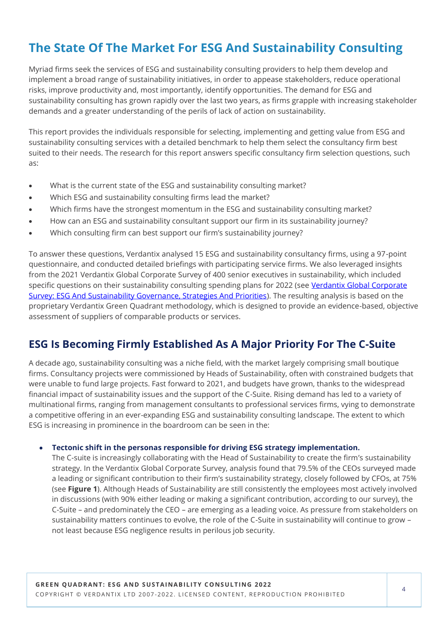## **The State Of The Market For ESG And Sustainability Consulting**

Myriad firms seek the services of ESG and sustainability consulting providers to help them develop and implement a broad range of sustainability initiatives, in order to appease stakeholders, reduce operational risks, improve productivity and, most importantly, identify opportunities. The demand for ESG and sustainability consulting has grown rapidly over the last two years, as firms grapple with increasing stakeholder demands and a greater understanding of the perils of lack of action on sustainability.

This report provides the individuals responsible for selecting, implementing and getting value from ESG and sustainability consulting services with a detailed benchmark to help them select the consultancy firm best suited to their needs. The research for this report answers specific consultancy firm selection questions, such as:

- What is the current state of the ESG and sustainability consulting market?
- Which ESG and sustainability consulting firms lead the market?
- Which firms have the strongest momentum in the ESG and sustainability consulting market?
- How can an ESG and sustainability consultant support our firm in its sustainability journey?
- Which consulting firm can best support our firm's sustainability journey?

To answer these questions, Verdantix analysed 15 ESG and sustainability consultancy firms, using a 97-point questionnaire, and conducted detailed briefings with participating service firms. We also leveraged insights from the 2021 Verdantix Global Corporate Survey of 400 senior executives in sustainability, which included specific questions on their sustainability consulting spending plans for 2022 (see Verdantix Global Corporate [Survey: ESG And Sustainability Governance, Strategies And Priorities\).](https://research.verdantix.com/report/global-corporate-survey-esg-and-sustainability-governance-strategies-and-priorities) The resulting analysis is based on the proprietary Verdantix Green Quadrant methodology, which is designed to provide an evidence-based, objective assessment of suppliers of comparable products or services.

## **ESG Is Becoming Firmly Established As A Major Priority For The C-Suite**

A decade ago, sustainability consulting was a niche field, with the market largely comprising small boutique firms. Consultancy projects were commissioned by Heads of Sustainability, often with constrained budgets that were unable to fund large projects. Fast forward to 2021, and budgets have grown, thanks to the widespread financial impact of sustainability issues and the support of the C-Suite. Rising demand has led to a variety of multinational firms, ranging from management consultants to professional services firms, vying to demonstrate a competitive offering in an ever-expanding ESG and sustainability consulting landscape. The extent to which ESG is increasing in prominence in the boardroom can be seen in the:

#### • **Tectonic shift in the personas responsible for driving ESG strategy implementation.**

The C-suite is increasingly collaborating with the Head of Sustainability to create the firm's sustainability strategy. In the Verdantix Global Corporate Survey, analysis found that 79.5% of the CEOs surveyed made a leading or significant contribution to their firm's sustainability strategy, closely followed by CFOs, at 75% (see **Figure 1**). Although Heads of Sustainability are still consistently the employees most actively involved in discussions (with 90% either leading or making a significant contribution, according to our survey), the C-Suite – and predominately the CEO – are emerging as a leading voice. As pressure from stakeholders on sustainability matters continues to evolve, the role of the C-Suite in sustainability will continue to grow – not least because ESG negligence results in perilous job security.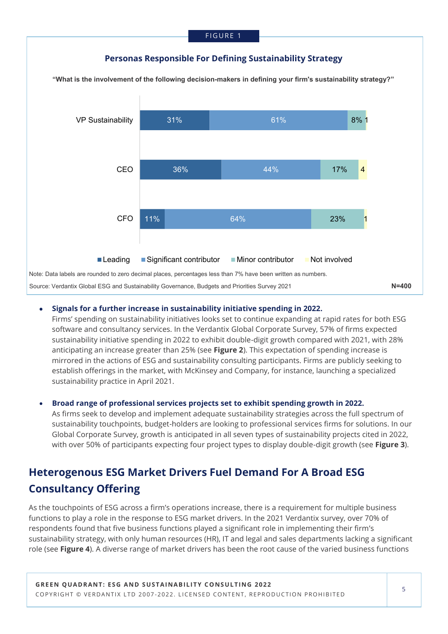## **Personas Responsible For Defining Sustainability Strategy**

**"What is the involvement of the following decision-makers in defining your firm's sustainability strategy?"**



## • **Signals for a further increase in sustainability initiative spending in 2022.**

Firms' spending on sustainability initiatives looks set to continue expanding at rapid rates for both ESG software and consultancy services. In the Verdantix Global Corporate Survey, 57% of firms expected sustainability initiative spending in 2022 to exhibit double-digit growth compared with 2021, with 28% anticipating an increase greater than 25% (see **Figure 2**). This expectation of spending increase is mirrored in the actions of ESG and sustainability consulting participants. Firms are publicly seeking to establish offerings in the market, with McKinsey and Company, for instance, launching a specialized sustainability practice in April 2021.

## • **Broad range of professional services projects set to exhibit spending growth in 2022.**

As firms seek to develop and implement adequate sustainability strategies across the full spectrum of sustainability touchpoints, budget-holders are looking to professional services firms for solutions. In our Global Corporate Survey, growth is anticipated in all seven types of sustainability projects cited in 2022, with over 50% of participants expecting four project types to display double-digit growth (see **Figure 3**).

## **Heterogenous ESG Market Drivers Fuel Demand For A Broad ESG Consultancy Offering**

As the touchpoints of ESG across a firm's operations increase, there is a requirement for multiple business functions to play a role in the response to ESG market drivers. In the 2021 Verdantix survey, over 70% of respondents found that five business functions played a significant role in implementing their firm's sustainability strategy, with only human resources (HR), IT and legal and sales departments lacking a significant role (see **Figure 4**). A diverse range of market drivers has been the root cause of the varied business functions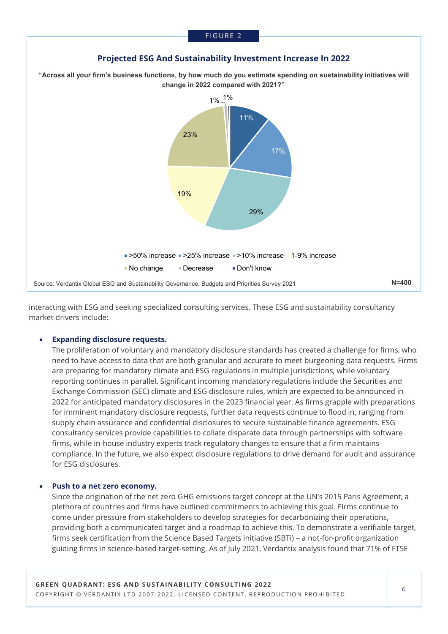

interacting with ESG and seeking specialized consulting services. These ESG and sustainability consultancy market drivers include:

## • **Expanding disclosure requests.**

The proliferation of voluntary and mandatory disclosure standards has created a challenge for firms, who need to have access to data that are both granular and accurate to meet burgeoning data requests. Firms are preparing for mandatory climate and ESG regulations in multiple jurisdictions, while voluntary reporting continues in parallel. Significant incoming mandatory regulations include the Securities and Exchange Commission (SEC) climate and ESG disclosure rules, which are expected to be announced in 2022 for anticipated mandatory disclosures in the 2023 financial year. As firms grapple with preparations for imminent mandatory disclosure requests, further data requests continue to flood in, ranging from supply chain assurance and confidential disclosures to secure sustainable finance agreements. ESG consultancy services provide capabilities to collate disparate data through partnerships with software firms, while in-house industry experts track regulatory changes to ensure that a firm maintains compliance. In the future, we also expect disclosure regulations to drive demand for audit and assurance for ESG disclosures.

### • **Push to a net zero economy.**

Since the origination of the net zero GHG emissions target concept at the UN's 2015 Paris Agreement, a plethora of countries and firms have outlined commitments to achieving this goal. Firms continue to come under pressure from stakeholders to develop strategies for decarbonizing their operations, providing both a communicated target and a roadmap to achieve this. To demonstrate a verifiable target, firms seek certification from the Science Based Targets initiative (SBTi) – a not-for-profit organization guiding firms in science-based target-setting. As of July 2021, Verdantix analysis found that 71% of FTSE

## **Projected ESG And Sustainability Investment Increase In 2022**

FIGURE 2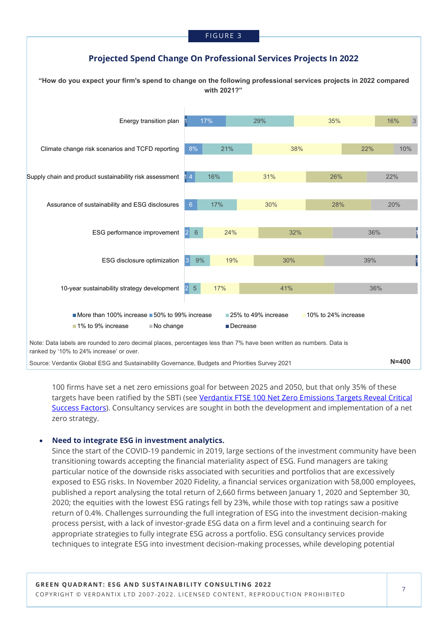## **Projected Spend Change On Professional Services Projects In 2022**

**"How do you expect your firm's spend to change on the following professional services projects in 2022 compared with 2021?" N=400** Note: Data labels are rounded to zero decimal places, percentages less than 7% have been written as numbers. Data is ranked by '10% to 24% increase' or over. 1 4 1 2 5 3 2 6 8% 17% 9% 17% 16% 21% 29% 17% 19% 24% 30% 31% 38% 35% 41% 30% 32% 28% 26% 22% 16% 36% 39% 36% 20% 22% 10% 3 1 1 10-year sustainability strategy development ESG disclosure optimization ESG performance improvement Assurance of sustainability and ESG disclosures Supply chain and product sustainability risk assessment Climate change risk scenarios and TCFD reporting Energy transition plan More than 100% increase  $\blacksquare$  50% to 99% increase  $\blacksquare$  25% to 49% increase  $\blacksquare$  10% to 24% increase ■ 1% to 9% increase No change Decrease Source: Verdantix Global ESG and Sustainability Governance, Budgets and Priorities Survey 2021

100 firms have set a net zero emissions goal for between 2025 and 2050, but that only 35% of these targets have been ratified by the SBTi (see Verdantix FTSE 100 Net Zero Emissions Targets Reveal Critical [Success Factors\)](https://research.verdantix.com/report/ftse-100-net-zero-emissions-targets-reveal-critical-success-factors). Consultancy services are sought in both the development and implementation of a net zero strategy.

#### • **Need to integrate ESG in investment analytics.**

Since the start of the COVID-19 pandemic in 2019, large sections of the investment community have been transitioning towards accepting the financial materiality aspect of ESG. Fund managers are taking particular notice of the downside risks associated with securities and portfolios that are excessively exposed to ESG risks. In November 2020 Fidelity, a financial services organization with 58,000 employees, published a report analysing the total return of 2,660 firms between January 1, 2020 and September 30, 2020; the equities with the lowest ESG ratings fell by 23%, while those with top ratings saw a positive return of 0.4%. Challenges surrounding the full integration of ESG into the investment decision-making process persist, with a lack of investor-grade ESG data on a firm level and a continuing search for appropriate strategies to fully integrate ESG across a portfolio. ESG consultancy services provide techniques to integrate ESG into investment decision-making processes, while developing potential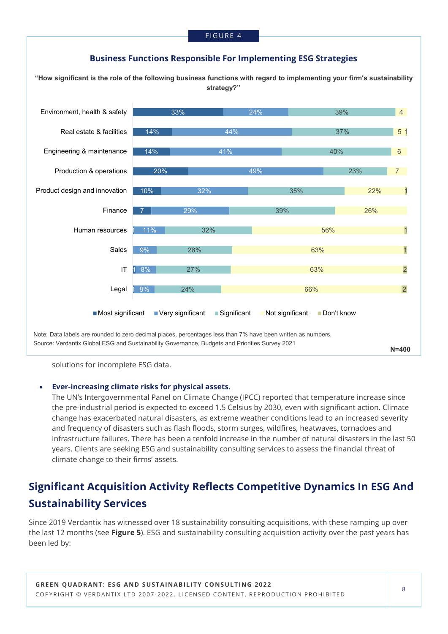

**"How significant is the role of the following business functions with regard to implementing your firm's sustainability strategy?"**



Source: Verdantix Global ESG and Sustainability Governance, Budgets and Priorities Survey 2021

**N=400**

solutions for incomplete ESG data.

## • **Ever-increasing climate risks for physical assets.**

The UN's Intergovernmental Panel on Climate Change (IPCC) reported that temperature increase since the pre-industrial period is expected to exceed 1.5 Celsius by 2030, even with significant action. Climate change has exacerbated natural disasters, as extreme weather conditions lead to an increased severity and frequency of disasters such as flash floods, storm surges, wildfires, heatwaves, tornadoes and infrastructure failures. There has been a tenfold increase in the number of natural disasters in the last 50 years. Clients are seeking ESG and sustainability consulting services to assess the financial threat of climate change to their firms' assets.

## **Significant Acquisition Activity Reflects Competitive Dynamics In ESG And Sustainability Services**

Since 2019 Verdantix has witnessed over 18 sustainability consulting acquisitions, with these ramping up over the last 12 months (see **Figure 5**). ESG and sustainability consulting acquisition activity over the past years has been led by: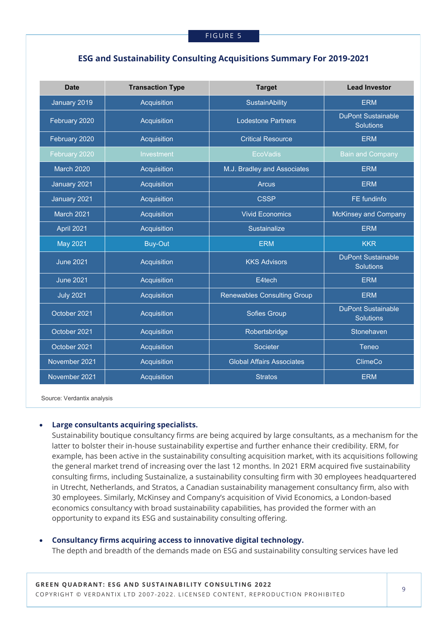## **ESG and Sustainability Consulting Acquisitions Summary For 2019-2021**

| <b>Date</b>       | <b>Transaction Type</b> | <b>Target</b>                      | <b>Lead Investor</b>                          |
|-------------------|-------------------------|------------------------------------|-----------------------------------------------|
| January 2019      | Acquisition             | <b>SustainAbility</b>              | <b>ERM</b>                                    |
| February 2020     | Acquisition             | <b>Lodestone Partners</b>          | <b>DuPont Sustainable</b><br><b>Solutions</b> |
| February 2020     | Acquisition             | <b>Critical Resource</b>           | <b>ERM</b>                                    |
| February 2020     | Investment              | <b>EcoVadis</b>                    | <b>Bain and Company</b>                       |
| <b>March 2020</b> | Acquisition             | M.J. Bradley and Associates        | <b>ERM</b>                                    |
| January 2021      | Acquisition             | <b>Arcus</b>                       | <b>ERM</b>                                    |
| January 2021      | Acquisition             | <b>CSSP</b>                        | FE fundinfo                                   |
| March 2021        | Acquisition             | <b>Vivid Economics</b>             | <b>McKinsey and Company</b>                   |
| April 2021        | Acquisition             | Sustainalize                       | <b>ERM</b>                                    |
| <b>May 2021</b>   | <b>Buy-Out</b>          | <b>ERM</b>                         | <b>KKR</b>                                    |
| <b>June 2021</b>  | Acquisition             | <b>KKS Advisors</b>                | <b>DuPont Sustainable</b><br><b>Solutions</b> |
| <b>June 2021</b>  | Acquisition             | E4tech                             | <b>ERM</b>                                    |
| <b>July 2021</b>  | Acquisition             | <b>Renewables Consulting Group</b> | <b>ERM</b>                                    |
| October 2021      | Acquisition             | <b>Sofies Group</b>                | <b>DuPont Sustainable</b><br><b>Solutions</b> |
| October 2021      | Acquisition             | Robertsbridge                      | Stonehaven                                    |
| October 2021      | Acquisition             | Societer                           | <b>Teneo</b>                                  |
| November 2021     | Acquisition             | <b>Global Affairs Associates</b>   | <b>ClimeCo</b>                                |
| November 2021     | Acquisition             | <b>Stratos</b>                     | <b>ERM</b>                                    |

Source: Verdantix analysis

## • **Large consultants acquiring specialists.**

Sustainability boutique consultancy firms are being acquired by large consultants, as a mechanism for the latter to bolster their in-house sustainability expertise and further enhance their credibility. ERM, for example, has been active in the sustainability consulting acquisition market, with its acquisitions following the general market trend of increasing over the last 12 months. In 2021 ERM acquired five sustainability consulting firms, including Sustainalize, a sustainability consulting firm with 30 employees headquartered in Utrecht, Netherlands, and Stratos, a Canadian sustainability management consultancy firm, also with 30 employees. Similarly, McKinsey and Company's acquisition of Vivid Economics, a London-based economics consultancy with broad sustainability capabilities, has provided the former with an opportunity to expand its ESG and sustainability consulting offering.

### • **Consultancy firms acquiring access to innovative digital technology.**

The depth and breadth of the demands made on ESG and sustainability consulting services have led

**GREEN QUADRANT: ESG AND SUSTAINABILITY CONSULTING 2022** COPYRIGHT © VERDANTIX LTD 2007-2022. LICENSED CONTENT, REPRODUCTION PROHIBITED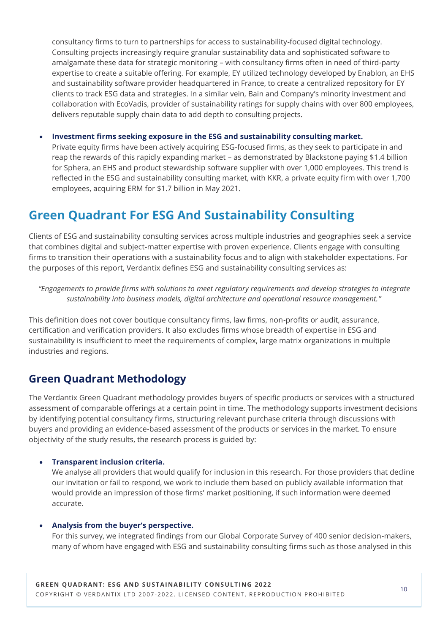consultancy firms to turn to partnerships for access to sustainability-focused digital technology. Consulting projects increasingly require granular sustainability data and sophisticated software to amalgamate these data for strategic monitoring – with consultancy firms often in need of third-party expertise to create a suitable offering. For example, EY utilized technology developed by Enablon, an EHS and sustainability software provider headquartered in France, to create a centralized repository for EY clients to track ESG data and strategies. In a similar vein, Bain and Company's minority investment and collaboration with EcoVadis, provider of sustainability ratings for supply chains with over 800 employees, delivers reputable supply chain data to add depth to consulting projects.

• **Investment firms seeking exposure in the ESG and sustainability consulting market.**

Private equity firms have been actively acquiring ESG-focused firms, as they seek to participate in and reap the rewards of this rapidly expanding market – as demonstrated by Blackstone paying \$1.4 billion for Sphera, an EHS and product stewardship software supplier with over 1,000 employees. This trend is reflected in the ESG and sustainability consulting market, with KKR, a private equity firm with over 1,700 employees, acquiring ERM for \$1.7 billion in May 2021.

## **Green Quadrant For ESG And Sustainability Consulting**

Clients of ESG and sustainability consulting services across multiple industries and geographies seek a service that combines digital and subject-matter expertise with proven experience. Clients engage with consulting firms to transition their operations with a sustainability focus and to align with stakeholder expectations. For the purposes of this report, Verdantix defines ESG and sustainability consulting services as:

*"Engagements to provide firms with solutions to meet regulatory requirements and develop strategies to integrate sustainability into business models, digital architecture and operational resource management."*

This definition does not cover boutique consultancy firms, law firms, non-profits or audit, assurance, certification and verification providers. It also excludes firms whose breadth of expertise in ESG and sustainability is insufficient to meet the requirements of complex, large matrix organizations in multiple industries and regions.

## **Green Quadrant Methodology**

The Verdantix Green Quadrant methodology provides buyers of specific products or services with a structured assessment of comparable offerings at a certain point in time. The methodology supports investment decisions by identifying potential consultancy firms, structuring relevant purchase criteria through discussions with buyers and providing an evidence-based assessment of the products or services in the market. To ensure objectivity of the study results, the research process is guided by:

## • **Transparent inclusion criteria.**

We analyse all providers that would qualify for inclusion in this research. For those providers that decline our invitation or fail to respond, we work to include them based on publicly available information that would provide an impression of those firms' market positioning, if such information were deemed accurate.

## • **Analysis from the buyer's perspective.**

For this survey, we integrated findings from our Global Corporate Survey of 400 senior decision-makers, many of whom have engaged with ESG and sustainability consulting firms such as those analysed in this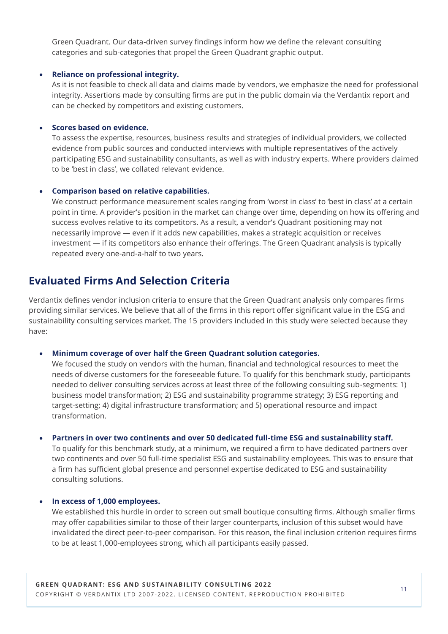Green Quadrant. Our data-driven survey findings inform how we define the relevant consulting categories and sub-categories that propel the Green Quadrant graphic output.

### • **Reliance on professional integrity.**

As it is not feasible to check all data and claims made by vendors, we emphasize the need for professional integrity. Assertions made by consulting firms are put in the public domain via the Verdantix report and can be checked by competitors and existing customers.

## • **Scores based on evidence.**

To assess the expertise, resources, business results and strategies of individual providers, we collected evidence from public sources and conducted interviews with multiple representatives of the actively participating ESG and sustainability consultants, as well as with industry experts. Where providers claimed to be 'best in class', we collated relevant evidence.

## • **Comparison based on relative capabilities.**

We construct performance measurement scales ranging from 'worst in class' to 'best in class' at a certain point in time. A provider's position in the market can change over time, depending on how its offering and success evolves relative to its competitors. As a result, a vendor's Quadrant positioning may not necessarily improve — even if it adds new capabilities, makes a strategic acquisition or receives investment — if its competitors also enhance their offerings. The Green Quadrant analysis is typically repeated every one-and-a-half to two years.

## **Evaluated Firms And Selection Criteria**

Verdantix defines vendor inclusion criteria to ensure that the Green Quadrant analysis only compares firms providing similar services. We believe that all of the firms in this report offer significant value in the ESG and sustainability consulting services market. The 15 providers included in this study were selected because they have:

#### • **Minimum coverage of over half the Green Quadrant solution categories.**

We focused the study on vendors with the human, financial and technological resources to meet the needs of diverse customers for the foreseeable future. To qualify for this benchmark study, participants needed to deliver consulting services across at least three of the following consulting sub-segments: 1) business model transformation; 2) ESG and sustainability programme strategy; 3) ESG reporting and target-setting; 4) digital infrastructure transformation; and 5) operational resource and impact transformation.

#### • **Partners in over two continents and over 50 dedicated full-time ESG and sustainability staff.**

To qualify for this benchmark study, at a minimum, we required a firm to have dedicated partners over two continents and over 50 full-time specialist ESG and sustainability employees. This was to ensure that a firm has sufficient global presence and personnel expertise dedicated to ESG and sustainability consulting solutions.

### • **In excess of 1,000 employees.**

We established this hurdle in order to screen out small boutique consulting firms. Although smaller firms may offer capabilities similar to those of their larger counterparts, inclusion of this subset would have invalidated the direct peer-to-peer comparison. For this reason, the final inclusion criterion requires firms to be at least 1,000-employees strong, which all participants easily passed.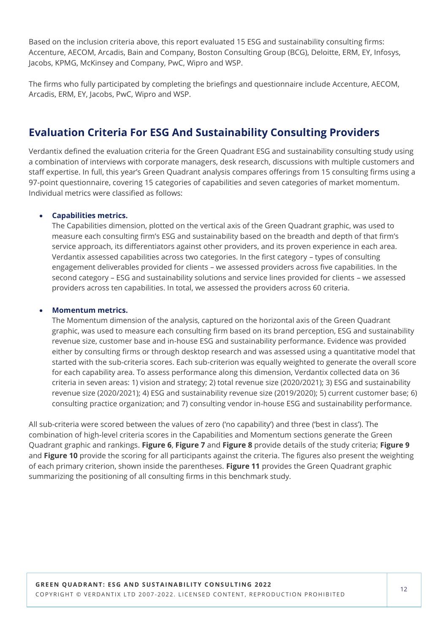Based on the inclusion criteria above, this report evaluated 15 ESG and sustainability consulting firms: Accenture, AECOM, Arcadis, Bain and Company, Boston Consulting Group (BCG), Deloitte, ERM, EY, Infosys, Jacobs, KPMG, McKinsey and Company, PwC, Wipro and WSP.

The firms who fully participated by completing the briefings and questionnaire include Accenture, AECOM, Arcadis, ERM, EY, Jacobs, PwC, Wipro and WSP.

## **Evaluation Criteria For ESG And Sustainability Consulting Providers**

Verdantix defined the evaluation criteria for the Green Quadrant ESG and sustainability consulting study using a combination of interviews with corporate managers, desk research, discussions with multiple customers and staff expertise. In full, this year's Green Quadrant analysis compares offerings from 15 consulting firms using a 97-point questionnaire, covering 15 categories of capabilities and seven categories of market momentum. Individual metrics were classified as follows:

## • **Capabilities metrics.**

The Capabilities dimension, plotted on the vertical axis of the Green Quadrant graphic, was used to measure each consulting firm's ESG and sustainability based on the breadth and depth of that firm's service approach, its differentiators against other providers, and its proven experience in each area. Verdantix assessed capabilities across two categories. In the first category – types of consulting engagement deliverables provided for clients – we assessed providers across five capabilities. In the second category – ESG and sustainability solutions and service lines provided for clients – we assessed providers across ten capabilities. In total, we assessed the providers across 60 criteria.

## • **Momentum metrics.**

The Momentum dimension of the analysis, captured on the horizontal axis of the Green Quadrant graphic, was used to measure each consulting firm based on its brand perception, ESG and sustainability revenue size, customer base and in-house ESG and sustainability performance. Evidence was provided either by consulting firms or through desktop research and was assessed using a quantitative model that started with the sub-criteria scores. Each sub-criterion was equally weighted to generate the overall score for each capability area. To assess performance along this dimension, Verdantix collected data on 36 criteria in seven areas: 1) vision and strategy; 2) total revenue size (2020/2021); 3) ESG and sustainability revenue size (2020/2021); 4) ESG and sustainability revenue size (2019/2020); 5) current customer base; 6) consulting practice organization; and 7) consulting vendor in-house ESG and sustainability performance.

All sub-criteria were scored between the values of zero ('no capability') and three ('best in class'). The combination of high-level criteria scores in the Capabilities and Momentum sections generate the Green Quadrant graphic and rankings. **Figure 6**, **Figure 7** and **Figure 8** provide details of the study criteria; **Figure 9**  and **Figure 10** provide the scoring for all participants against the criteria. The figures also present the weighting of each primary criterion, shown inside the parentheses. **Figure 11** provides the Green Quadrant graphic summarizing the positioning of all consulting firms in this benchmark study.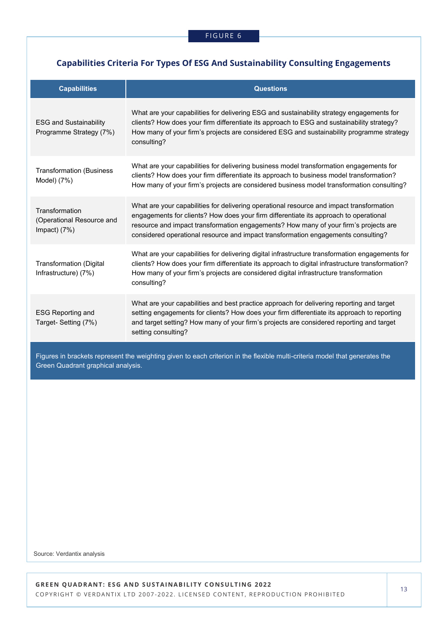## **Capabilities Criteria For Types Of ESG And Sustainability Consulting Engagements**

| <b>Capabilities</b>                                           | <b>Questions</b>                                                                                                                                                                                                                                                                                                                                               |
|---------------------------------------------------------------|----------------------------------------------------------------------------------------------------------------------------------------------------------------------------------------------------------------------------------------------------------------------------------------------------------------------------------------------------------------|
| <b>ESG and Sustainability</b><br>Programme Strategy (7%)      | What are your capabilities for delivering ESG and sustainability strategy engagements for<br>clients? How does your firm differentiate its approach to ESG and sustainability strategy?<br>How many of your firm's projects are considered ESG and sustainability programme strategy<br>consulting?                                                            |
| <b>Transformation (Business</b><br>Model) (7%)                | What are your capabilities for delivering business model transformation engagements for<br>clients? How does your firm differentiate its approach to business model transformation?<br>How many of your firm's projects are considered business model transformation consulting?                                                                               |
| Transformation<br>(Operational Resource and<br>Impact) $(7%)$ | What are your capabilities for delivering operational resource and impact transformation<br>engagements for clients? How does your firm differentiate its approach to operational<br>resource and impact transformation engagements? How many of your firm's projects are<br>considered operational resource and impact transformation engagements consulting? |
| <b>Transformation (Digital</b><br>Infrastructure) (7%)        | What are your capabilities for delivering digital infrastructure transformation engagements for<br>clients? How does your firm differentiate its approach to digital infrastructure transformation?<br>How many of your firm's projects are considered digital infrastructure transformation<br>consulting?                                                    |
| <b>ESG Reporting and</b><br>Target- Setting (7%)              | What are your capabilities and best practice approach for delivering reporting and target<br>setting engagements for clients? How does your firm differentiate its approach to reporting<br>and target setting? How many of your firm's projects are considered reporting and target<br>setting consulting?                                                    |

Figures in brackets represent the weighting given to each criterion in the flexible multi-criteria model that generates the Green Quadrant graphical analysis.

Source: Verdantix analysis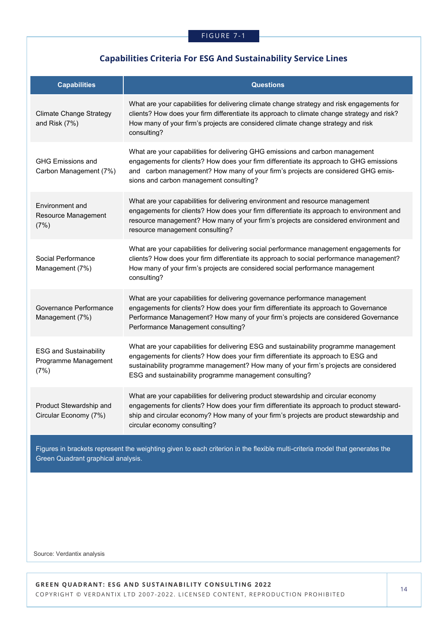## **Capabilities Criteria For ESG And Sustainability Service Lines**

| <b>Capabilities</b>                                           | <b>Questions</b>                                                                                                                                                                                                                                                                                                              |
|---------------------------------------------------------------|-------------------------------------------------------------------------------------------------------------------------------------------------------------------------------------------------------------------------------------------------------------------------------------------------------------------------------|
| <b>Climate Change Strategy</b><br>and Risk (7%)               | What are your capabilities for delivering climate change strategy and risk engagements for<br>clients? How does your firm differentiate its approach to climate change strategy and risk?<br>How many of your firm's projects are considered climate change strategy and risk<br>consulting?                                  |
| <b>GHG Emissions and</b><br>Carbon Management (7%)            | What are your capabilities for delivering GHG emissions and carbon management<br>engagements for clients? How does your firm differentiate its approach to GHG emissions<br>and carbon management? How many of your firm's projects are considered GHG emis-<br>sions and carbon management consulting?                       |
| Environment and<br>Resource Management<br>(7%)                | What are your capabilities for delivering environment and resource management<br>engagements for clients? How does your firm differentiate its approach to environment and<br>resource management? How many of your firm's projects are considered environment and<br>resource management consulting?                         |
| Social Performance<br>Management (7%)                         | What are your capabilities for delivering social performance management engagements for<br>clients? How does your firm differentiate its approach to social performance management?<br>How many of your firm's projects are considered social performance management<br>consulting?                                           |
| Governance Performance<br>Management (7%)                     | What are your capabilities for delivering governance performance management<br>engagements for clients? How does your firm differentiate its approach to Governance<br>Performance Management? How many of your firm's projects are considered Governance<br>Performance Management consulting?                               |
| <b>ESG and Sustainability</b><br>Programme Management<br>(7%) | What are your capabilities for delivering ESG and sustainability programme management<br>engagements for clients? How does your firm differentiate its approach to ESG and<br>sustainability programme management? How many of your firm's projects are considered<br>ESG and sustainability programme management consulting? |
| Product Stewardship and<br>Circular Economy (7%)              | What are your capabilities for delivering product stewardship and circular economy<br>engagements for clients? How does your firm differentiate its approach to product steward-<br>ship and circular economy? How many of your firm's projects are product stewardship and<br>circular economy consulting?                   |
| Green Quadrant graphical analysis.                            | Figures in brackets represent the weighting given to each criterion in the flexible multi-criteria model that generates the                                                                                                                                                                                                   |

Source: Verdantix analysis

**GREEN QUADRANT: ESG AND SUSTAINABILITY CONSULTING 2022** COPYRIGHT © VERDANTIX LTD 2007-2022. LICENSED CONTENT, REPRODUCTION PROHIBITED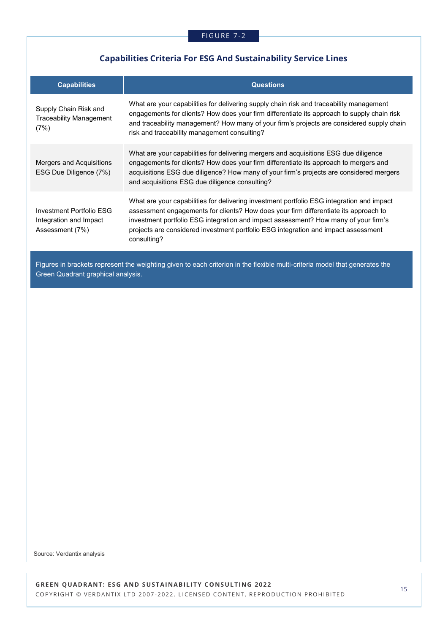## **Capabilities Criteria For ESG And Sustainability Service Lines**

| <b>Capabilities</b>                                                   | <b>Questions</b>                                                                                                                                                                                                                                                                                                                                                              |
|-----------------------------------------------------------------------|-------------------------------------------------------------------------------------------------------------------------------------------------------------------------------------------------------------------------------------------------------------------------------------------------------------------------------------------------------------------------------|
| Supply Chain Risk and<br><b>Traceability Management</b><br>(7%)       | What are your capabilities for delivering supply chain risk and traceability management<br>engagements for clients? How does your firm differentiate its approach to supply chain risk<br>and traceability management? How many of your firm's projects are considered supply chain<br>risk and traceability management consulting?                                           |
| <b>Mergers and Acquisitions</b><br>ESG Due Diligence (7%)             | What are your capabilities for delivering mergers and acquisitions ESG due diligence<br>engagements for clients? How does your firm differentiate its approach to mergers and<br>acquisitions ESG due diligence? How many of your firm's projects are considered mergers<br>and acquisitions ESG due diligence consulting?                                                    |
| Investment Portfolio FSG<br>Integration and Impact<br>Assessment (7%) | What are your capabilities for delivering investment portfolio ESG integration and impact<br>assessment engagements for clients? How does your firm differentiate its approach to<br>investment portfolio ESG integration and impact assessment? How many of your firm's<br>projects are considered investment portfolio ESG integration and impact assessment<br>consulting? |
|                                                                       | Figures in brackets represent the weighting given to each criterion in the flexible multi-criteria model that generates the                                                                                                                                                                                                                                                   |

Source: Verdantix analysis

Green Quadrant graphical analysis.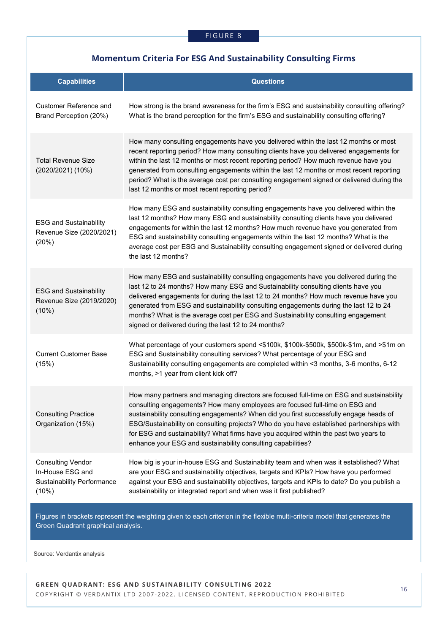## **Momentum Criteria For ESG And Sustainability Consulting Firms**

| <b>Capabilities</b>                                                                        | <b>Questions</b>                                                                                                                                                                                                                                                                                                                                                                                                                                                                                                       |
|--------------------------------------------------------------------------------------------|------------------------------------------------------------------------------------------------------------------------------------------------------------------------------------------------------------------------------------------------------------------------------------------------------------------------------------------------------------------------------------------------------------------------------------------------------------------------------------------------------------------------|
| Customer Reference and<br>Brand Perception (20%)                                           | How strong is the brand awareness for the firm's ESG and sustainability consulting offering?<br>What is the brand perception for the firm's ESG and sustainability consulting offering?                                                                                                                                                                                                                                                                                                                                |
| <b>Total Revenue Size</b><br>(2020/2021) (10%)                                             | How many consulting engagements have you delivered within the last 12 months or most<br>recent reporting period? How many consulting clients have you delivered engagements for<br>within the last 12 months or most recent reporting period? How much revenue have you<br>generated from consulting engagements within the last 12 months or most recent reporting<br>period? What is the average cost per consulting engagement signed or delivered during the<br>last 12 months or most recent reporting period?    |
| <b>ESG and Sustainability</b><br>Revenue Size (2020/2021)<br>(20%)                         | How many ESG and sustainability consulting engagements have you delivered within the<br>last 12 months? How many ESG and sustainability consulting clients have you delivered<br>engagements for within the last 12 months? How much revenue have you generated from<br>ESG and sustainability consulting engagements within the last 12 months? What is the<br>average cost per ESG and Sustainability consulting engagement signed or delivered during<br>the last 12 months?                                        |
| <b>ESG and Sustainability</b><br>Revenue Size (2019/2020)<br>(10%)                         | How many ESG and sustainability consulting engagements have you delivered during the<br>last 12 to 24 months? How many ESG and Sustainability consulting clients have you<br>delivered engagements for during the last 12 to 24 months? How much revenue have you<br>generated from ESG and sustainability consulting engagements during the last 12 to 24<br>months? What is the average cost per ESG and Sustainability consulting engagement<br>signed or delivered during the last 12 to 24 months?                |
| <b>Current Customer Base</b><br>(15%)                                                      | What percentage of your customers spend <\$100k, \$100k-\$500k, \$500k-\$1m, and >\$1m on<br>ESG and Sustainability consulting services? What percentage of your ESG and<br>Sustainability consulting engagements are completed within <3 months, 3-6 months, 6-12<br>months, >1 year from client kick off?                                                                                                                                                                                                            |
| <b>Consulting Practice</b><br>Organization (15%)                                           | How many partners and managing directors are focused full-time on ESG and sustainability<br>consulting engagements? How many employees are focused full-time on ESG and<br>sustainability consulting engagements? When did you first successfully engage heads of<br>ESG/Sustainability on consulting projects? Who do you have established partnerships with<br>for ESG and sustainability? What firms have you acquired within the past two years to<br>enhance your ESG and sustainability consulting capabilities? |
| <b>Consulting Vendor</b><br>In-House ESG and<br><b>Sustainability Performance</b><br>(10%) | How big is your in-house ESG and Sustainability team and when was it established? What<br>are your ESG and sustainability objectives, targets and KPIs? How have you performed<br>against your ESG and sustainability objectives, targets and KPIs to date? Do you publish a<br>sustainability or integrated report and when was it first published?                                                                                                                                                                   |

Figures in brackets represent the weighting given to each criterion in the flexible multi-criteria model that generates the Green Quadrant graphical analysis.

Source: Verdantix analysis

**GREEN QUADRANT: ESG AND SUSTAINABILITY CONSULTING 2022** COPYRIGHT © VERDANTIX LTD 2007-2022. LICENSED CONTENT, REPRODUCTION PROHIBITED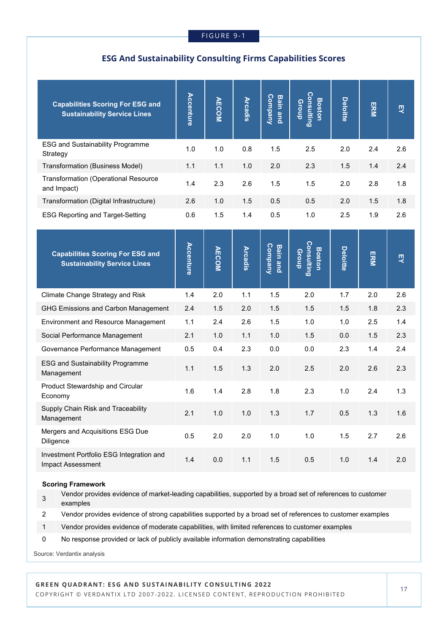## **ESG And Sustainability Consulting Firms Capabilities Scores**

| <b>Capabilities Scoring For ESG and</b><br><b>Sustainability Service Lines</b> | <b>Accenture</b> | <b>AECOM</b> | <b>Arcadis</b> | Company<br><b>Bain and</b> | Consulting<br><b>Boston</b><br>Group        | <b>Deloitte</b> | ERM | 핏   |
|--------------------------------------------------------------------------------|------------------|--------------|----------------|----------------------------|---------------------------------------------|-----------------|-----|-----|
| <b>ESG and Sustainability Programme</b><br>Strategy                            | 1.0              | 1.0          | 0.8            | 1.5                        | 2.5                                         | 2.0             | 2.4 | 2.6 |
| Transformation (Business Model)                                                | 1.1              | 1.1          | 1.0            | 2.0                        | 2.3                                         | 1.5             | 1.4 | 2.4 |
| <b>Transformation (Operational Resource</b><br>and Impact)                     | 1.4              | 2.3          | 2.6            | 1.5                        | 1.5                                         | 2.0             | 2.8 | 1.8 |
| Transformation (Digital Infrastructure)                                        | 2.6              | 1.0          | 1.5            | 0.5                        | 0.5                                         | 2.0             | 1.5 | 1.8 |
| <b>ESG Reporting and Target-Setting</b>                                        | 0.6              | 1.5          | 1.4            | 0.5                        | 1.0                                         | 2.5             | 1.9 | 2.6 |
| <b>Capabilities Scoring For ESG and</b><br><b>Sustainability Service Lines</b> | Accenture        | <b>AECOM</b> | <b>Arcadis</b> | Company<br><b>Bain and</b> | <b>Consulting</b><br><b>Boston</b><br>Group | Deloitte        | ERM | 핏   |
| Climate Change Strategy and Risk                                               | 1.4              | 2.0          | 1.1            | 1.5                        | 2.0                                         | 1.7             | 2.0 | 2.6 |
| <b>GHG Emissions and Carbon Management</b>                                     | 2.4              | 1.5          | 2.0            | 1.5                        | 1.5                                         | 1.5             | 1.8 | 2.3 |
| Environment and Resource Management                                            | 1.1              | 2.4          | 2.6            | 1.5                        | 1.0                                         | 1.0             | 2.5 | 1.4 |
| Social Performance Management                                                  | 2.1              | 1.0          | 1.1            | 1.0                        | 1.5                                         | 0.0             | 1.5 | 2.3 |
| Governance Performance Management                                              | 0.5              | 0.4          | 2.3            | 0.0                        | 0.0                                         | 2.3             | 1.4 | 2.4 |
| <b>ESG and Sustainability Programme</b><br>Management                          | 1.1              | 1.5          | 1.3            | 2.0                        | 2.5                                         | 2.0             | 2.6 | 2.3 |
| Product Stewardship and Circular<br>Economy                                    | 1.6              | 1.4          | 2.8            | 1.8                        | 2.3                                         | 1.0             | 2.4 | 1.3 |
| Supply Chain Risk and Traceability<br>Management                               | 2.1              | 1.0          | 1.0            | 1.3                        | 1.7                                         | 0.5             | 1.3 | 1.6 |
| Mergers and Acquisitions ESG Due<br>Diligence                                  | 0.5              | 2.0          | 2.0            | $1.0$                      | $1.0$                                       | 1.5             | 2.7 | 2.6 |
| Investment Portfolio ESG Integration and<br>Impact Assessment                  | 1.4              | $0.0\,$      | 1.1            | 1.5                        | 0.5                                         | 1.0             | 1.4 | 2.0 |

#### **Scoring Framework**

3 Vendor provides evidence of market-leading capabilities, supported by a broad set of references to customer examples

2 Vendor provides evidence of strong capabilities supported by a broad set of references to customer examples

- 1 Vendor provides evidence of moderate capabilities, with limited references to customer examples
- 0 No response provided or lack of publicly available information demonstrating capabilities

Source: Verdantix analysis

## **GREEN QUADRANT: ESG AND SUSTAINABILITY CONSULTING 2022**

COPYRIGHT © VERDANTIX LTD 2007-2022. LICENSED CONTENT, REPRODUCTION PROHIBITED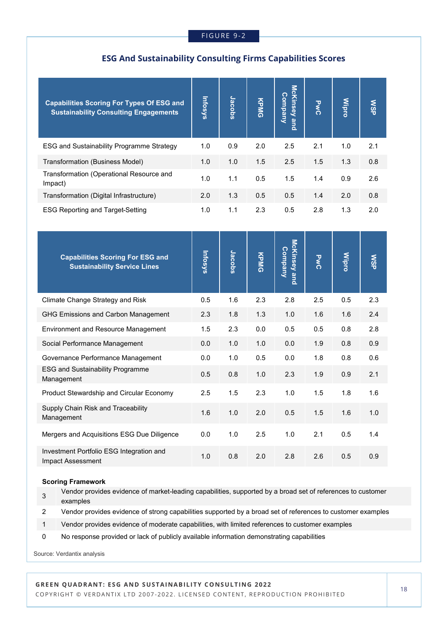## **ESG And Sustainability Consulting Firms Capabilities Scores**

| <b>Capabilities Scoring For Types Of ESG and</b><br><b>Sustainability Consulting Engagements</b> | <b>Infosys</b> | Jacobs | KPMG | McKinsey and<br><b>Company</b> | <b>PWC</b> | <b>Wipro</b> | <b>NSP</b> |
|--------------------------------------------------------------------------------------------------|----------------|--------|------|--------------------------------|------------|--------------|------------|
| <b>ESG and Sustainability Programme Strategy</b>                                                 | 1.0            | 0.9    | 2.0  | 2.5                            | 2.1        | 1.0          | 2.1        |
| Transformation (Business Model)                                                                  | 1.0            | 1.0    | 1.5  | 2.5                            | 1.5        | 1.3          | 0.8        |
| Transformation (Operational Resource and<br>Impact)                                              | 1.0            | 1.1    | 0.5  | 1.5                            | 1.4        | 0.9          | 2.6        |
| Transformation (Digital Infrastructure)                                                          | 2.0            | 1.3    | 0.5  | 0.5                            | 1.4        | 2.0          | 0.8        |
| <b>ESG Reporting and Target-Setting</b>                                                          | 1.0            | 1.1    | 2.3  | 0.5                            | 2.8        | 1.3          | 2.0        |
| <b>Capabilities Scoring For ESG and</b><br><b>Sustainability Service Lines</b>                   | <b>Infosys</b> | Jacobs | KPMG | McKinsey and<br>Company        | <b>PWC</b> | <b>Mipro</b> | <b>NSP</b> |
| Climate Change Strategy and Risk                                                                 | 0.5            | 1.6    | 2.3  | 2.8                            | 2.5        | 0.5          | 2.3        |
|                                                                                                  |                |        |      |                                |            |              |            |
| <b>GHG Emissions and Carbon Management</b>                                                       | 2.3            | 1.8    | 1.3  | 1.0                            | 1.6        | 1.6          | 2.4        |
| Environment and Resource Management                                                              | 1.5            | 2.3    | 0.0  | 0.5                            | 0.5        | 0.8          | 2.8        |
| Social Performance Management                                                                    | 0.0            | 1.0    | 1.0  | 0.0                            | 1.9        | 0.8          | 0.9        |
| Governance Performance Management                                                                | 0.0            | 1.0    | 0.5  | 0.0                            | 1.8        | 0.8          | 0.6        |
| <b>ESG and Sustainability Programme</b><br>Management                                            | 0.5            | 0.8    | 1.0  | 2.3                            | 1.9        | 0.9          | 2.1        |
| Product Stewardship and Circular Economy                                                         | 2.5            | 1.5    | 2.3  | 1.0                            | 1.5        | 1.8          | 1.6        |
| Supply Chain Risk and Traceability<br>Management                                                 | 1.6            | 1.0    | 2.0  | 0.5                            | 1.5        | 1.6          | 1.0        |
| Mergers and Acquisitions ESG Due Diligence                                                       | 0.0            | 1.0    | 2.5  | 1.0                            | 2.1        | 0.5          | 1.4        |

#### **Scoring Framework**

3 Vendor provides evidence of market-leading capabilities, supported by a broad set of references to customer examples

2 Vendor provides evidence of strong capabilities supported by a broad set of references to customer examples

- 1 Vendor provides evidence of moderate capabilities, with limited references to customer examples
- 0 No response provided or lack of publicly available information demonstrating capabilities

Source: Verdantix analysis

## **GREEN QUADRANT: ESG AND SUSTAINABILITY CONSULTING 2022**

COPYRIGHT © VERDANTIX LTD 2007-2022. LICENSED CONTENT, REPRODUCTION PROHIBITED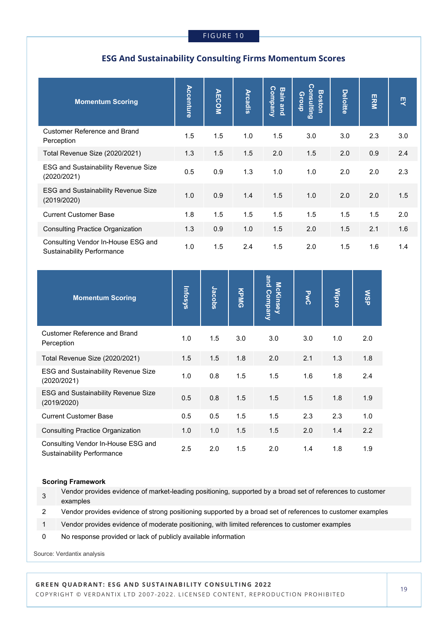## **ESG And Sustainability Consulting Firms Momentum Scores**

| <b>Momentum Scoring</b>                                                 | Accenture | <b>AECOM</b> | <b>Arcadis</b> | ဂ<br><b>Bain</b><br><b>Aureduso</b><br>and | <b>Consulting</b><br><b>Boston</b><br>Group | <b>Deloitte</b> | ERM | 핏   |
|-------------------------------------------------------------------------|-----------|--------------|----------------|--------------------------------------------|---------------------------------------------|-----------------|-----|-----|
| <b>Customer Reference and Brand</b><br>Perception                       | 1.5       | 1.5          | 1.0            | 1.5                                        | 3.0                                         | 3.0             | 2.3 | 3.0 |
| Total Revenue Size (2020/2021)                                          | 1.3       | 1.5          | 1.5            | 2.0                                        | 1.5                                         | 2.0             | 0.9 | 2.4 |
| <b>ESG and Sustainability Revenue Size</b><br>(2020/2021)               | 0.5       | 0.9          | 1.3            | 1.0                                        | 1.0                                         | 2.0             | 2.0 | 2.3 |
| <b>ESG and Sustainability Revenue Size</b><br>(2019/2020)               | 1.0       | 0.9          | 1.4            | 1.5                                        | 1.0                                         | 2.0             | 2.0 | 1.5 |
| <b>Current Customer Base</b>                                            | 1.8       | 1.5          | 1.5            | 1.5                                        | 1.5                                         | 1.5             | 1.5 | 2.0 |
| <b>Consulting Practice Organization</b>                                 | 1.3       | 0.9          | 1.0            | 1.5                                        | 2.0                                         | 1.5             | 2.1 | 1.6 |
| Consulting Vendor In-House ESG and<br><b>Sustainability Performance</b> | 1.0       | 1.5          | 2.4            | 1.5                                        | 2.0                                         | 1.5             | 1.6 | 1.4 |

| <b>Momentum Scoring</b>                                                 | Infosys | Jacobs | KPMG | and Company<br><b>McKinsey</b> | <b>PAC</b> | <b>Mipro</b> | <b>NSP</b> |
|-------------------------------------------------------------------------|---------|--------|------|--------------------------------|------------|--------------|------------|
| <b>Customer Reference and Brand</b><br>Perception                       | 1.0     | 1.5    | 3.0  | 3.0                            | 3.0        | 1.0          | 2.0        |
| Total Revenue Size (2020/2021)                                          | 1.5     | 1.5    | 1.8  | 2.0                            | 2.1        | 1.3          | 1.8        |
| <b>ESG and Sustainability Revenue Size</b><br>(2020/2021)               | 1.0     | 0.8    | 1.5  | 1.5                            | 1.6        | 1.8          | 2.4        |
| <b>ESG and Sustainability Revenue Size</b><br>(2019/2020)               | 0.5     | 0.8    | 1.5  | 1.5                            | 1.5        | 1.8          | 1.9        |
| <b>Current Customer Base</b>                                            | 0.5     | 0.5    | 1.5  | 1.5                            | 2.3        | 2.3          | 1.0        |
| <b>Consulting Practice Organization</b>                                 | 1.0     | 1.0    | 1.5  | 1.5                            | 2.0        | 1.4          | 2.2        |
| Consulting Vendor In-House ESG and<br><b>Sustainability Performance</b> | 2.5     | 2.0    | 1.5  | 2.0                            | 1.4        | 1.8          | 1.9        |

#### **Scoring Framework**

3 Vendor provides evidence of market-leading positioning, supported by a broad set of references to customer examples

2 Vendor provides evidence of strong positioning supported by a broad set of references to customer examples

1 Vendor provides evidence of moderate positioning, with limited references to customer examples

0 No response provided or lack of publicly available information

Source: Verdantix analysis

## **GREEN QUADRANT: ESG AND SUSTAINABILITY CONSULTING 2022**

COPYRIGHT © VERDANTIX LTD 2007-2022. LICENSED CONTENT, REPRODUCTION PROHIBITED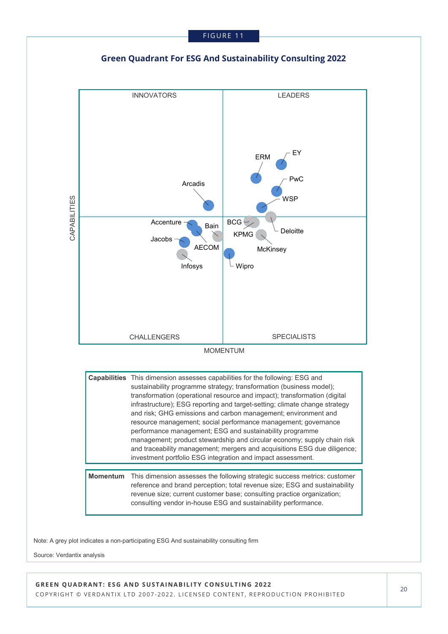



Note: A grey plot indicates a non-participating ESG And sustainability consulting firm

Source: Verdantix analysis

#### **GREEN QUADRANT: ESG AND SUSTAINABILITY CONSULTING 2022** COPYRIGHT © VERDANTIX LTD 2007-2022. LICENSED CONTENT, REPRODUCTION PROHIBITED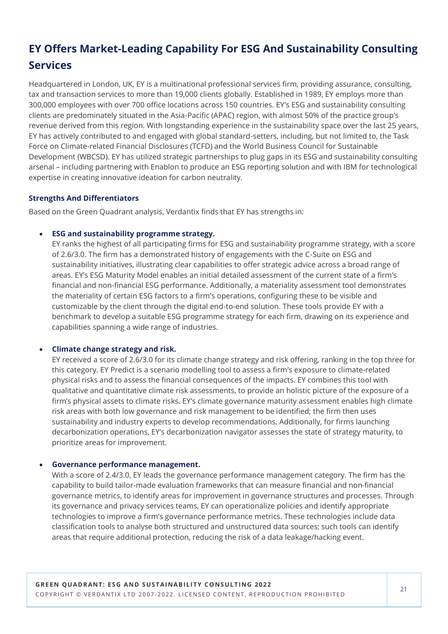## **EY Offers Market-Leading Capability For ESG And Sustainability Consulting Services**

Headquartered in London, UK, EY is a multinational professional services firm, providing assurance, consulting, tax and transaction services to more than 19,000 clients globally. Established in 1989, EY employs more than 300,000 employees with over 700 office locations across 150 countries. EY's ESG and sustainability consulting clients are predominately situated in the Asia-Pacific (APAC) region, with almost 50% of the practice group's revenue derived from this region. With longstanding experience in the sustainability space over the last 25 years, EY has actively contributed to and engaged with global standard-setters, including, but not limited to, the Task Force on Climate-related Financial Disclosures (TCFD) and the World Business Council for Sustainable Development (WBCSD). EY has utilized strategic partnerships to plug gaps in its ESG and sustainability consulting arsenal – including partnering with Enablon to produce an ESG reporting solution and with IBM for technological expertise in creating innovative ideation for carbon neutrality.

## **Strengths And Differentiators**

Based on the Green Quadrant analysis, Verdantix finds that EY has strengths in:

## • **ESG and sustainability programme strategy.**

EY ranks the highest of all participating firms for ESG and sustainability programme strategy, with a score of 2.6/3.0. The firm has a demonstrated history of engagements with the C-Suite on ESG and sustainability initiatives, illustrating clear capabilities to offer strategic advice across a broad range of areas. EY's ESG Maturity Model enables an initial detailed assessment of the current state of a firm's financial and non-financial ESG performance. Additionally, a materiality assessment tool demonstrates the materiality of certain ESG factors to a firm's operations, configuring these to be visible and customizable by the client through the digital end-to-end solution. These tools provide EY with a benchmark to develop a suitable ESG programme strategy for each firm, drawing on its experience and capabilities spanning a wide range of industries.

## • **Climate change strategy and risk.**

EY received a score of 2.6/3.0 for its climate change strategy and risk offering, ranking in the top three for this category. EY Predict is a scenario modelling tool to assess a firm's exposure to climate-related physical risks and to assess the financial consequences of the impacts. EY combines this tool with qualitative and quantitative climate risk assessments, to provide an holistic picture of the exposure of a firm's physical assets to climate risks. EY's climate governance maturity assessment enables high climate risk areas with both low governance and risk management to be identified; the firm then uses sustainability and industry experts to develop recommendations. Additionally, for firms launching decarbonization operations, EY's decarbonization navigator assesses the state of strategy maturity, to prioritize areas for improvement.

## • **Governance performance management.**

With a score of 2.4/3.0, EY leads the governance performance management category. The firm has the capability to build tailor-made evaluation frameworks that can measure financial and non-financial governance metrics, to identify areas for improvement in governance structures and processes. Through its governance and privacy services teams, EY can operationalize policies and identify appropriate technologies to improve a firm's governance performance metrics. These technologies include data classification tools to analyse both structured and unstructured data sources; such tools can identify areas that require additional protection, reducing the risk of a data leakage/hacking event.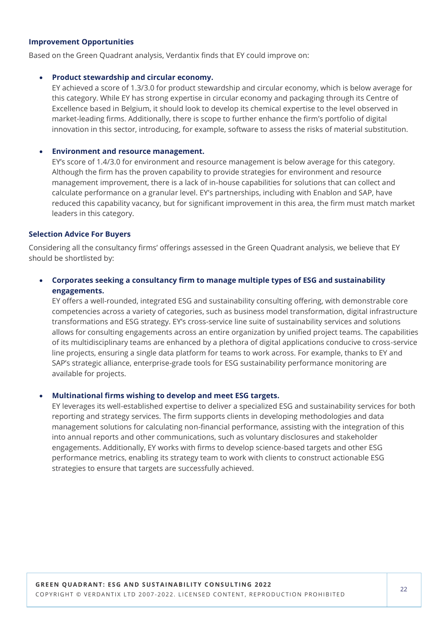### **Improvement Opportunities**

Based on the Green Quadrant analysis, Verdantix finds that EY could improve on:

### • **Product stewardship and circular economy.**

EY achieved a score of 1.3/3.0 for product stewardship and circular economy, which is below average for this category. While EY has strong expertise in circular economy and packaging through its Centre of Excellence based in Belgium, it should look to develop its chemical expertise to the level observed in market-leading firms. Additionally, there is scope to further enhance the firm's portfolio of digital innovation in this sector, introducing, for example, software to assess the risks of material substitution.

### • **Environment and resource management.**

EY's score of 1.4/3.0 for environment and resource management is below average for this category. Although the firm has the proven capability to provide strategies for environment and resource management improvement, there is a lack of in-house capabilities for solutions that can collect and calculate performance on a granular level. EY's partnerships, including with Enablon and SAP, have reduced this capability vacancy, but for significant improvement in this area, the firm must match market leaders in this category.

### **Selection Advice For Buyers**

Considering all the consultancy firms' offerings assessed in the Green Quadrant analysis, we believe that EY should be shortlisted by:

## • **Corporates seeking a consultancy firm to manage multiple types of ESG and sustainability engagements.**

EY offers a well-rounded, integrated ESG and sustainability consulting offering, with demonstrable core competencies across a variety of categories, such as business model transformation, digital infrastructure transformations and ESG strategy. EY's cross-service line suite of sustainability services and solutions allows for consulting engagements across an entire organization by unified project teams. The capabilities of its multidisciplinary teams are enhanced by a plethora of digital applications conducive to cross-service line projects, ensuring a single data platform for teams to work across. For example, thanks to EY and SAP's strategic alliance, enterprise-grade tools for ESG sustainability performance monitoring are available for projects.

## • **Multinational firms wishing to develop and meet ESG targets.**

EY leverages its well-established expertise to deliver a specialized ESG and sustainability services for both reporting and strategy services. The firm supports clients in developing methodologies and data management solutions for calculating non-financial performance, assisting with the integration of this into annual reports and other communications, such as voluntary disclosures and stakeholder engagements. Additionally, EY works with firms to develop science-based targets and other ESG performance metrics, enabling its strategy team to work with clients to construct actionable ESG strategies to ensure that targets are successfully achieved.